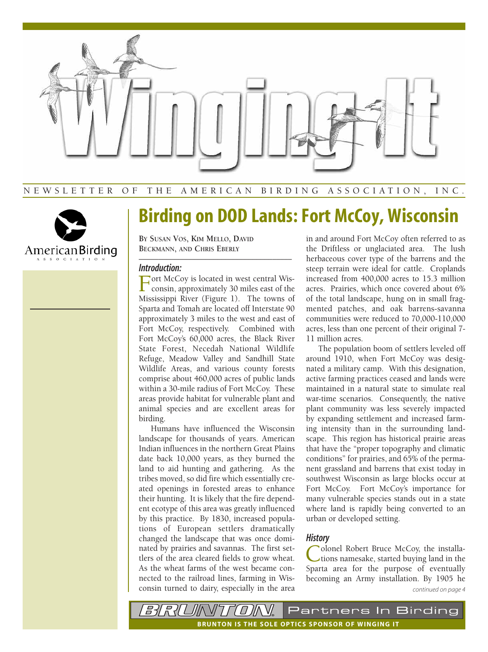

## NEWSLETTER OF THE AMERICAN BIRDING ASSOCIATION, INC.



# **Birding on DOD Lands: Fort McCoy, Wisconsin**

**BY SUSAN VOS, KIM MELLO, DAVID BECKMANN, AND CHRIS EBERLY**

### *Introduction:*

Fort McCoy is located in west central Wis-<br>consin, approximately 30 miles east of the Mississippi River (Figure 1). The towns of Sparta and Tomah are located off Interstate 90 approximately 3 miles to the west and east of Fort McCoy, respectively. Combined with Fort McCoy's 60,000 acres, the Black River State Forest, Necedah National Wildlife Refuge, Meadow Valley and Sandhill State Wildlife Areas, and various county forests comprise about 460,000 acres of public lands within a 30-mile radius of Fort McCoy. These areas provide habitat for vulnerable plant and animal species and are excellent areas for birding.

–––––––––––––––––––––––––––––––––––––––

Humans have influenced the Wisconsin landscape for thousands of years. American Indian influences in the northern Great Plains date back 10,000 years, as they burned the land to aid hunting and gathering. As the tribes moved, so did fire which essentially created openings in forested areas to enhance their hunting. It is likely that the fire dependent ecotype of this area was greatly influenced by this practice. By 1830, increased populations of European settlers dramatically changed the landscape that was once dominated by prairies and savannas. The first settlers of the area cleared fields to grow wheat. As the wheat farms of the west became connected to the railroad lines, farming in Wisconsin turned to dairy, especially in the area in and around Fort McCoy often referred to as the Driftless or unglaciated area. The lush herbaceous cover type of the barrens and the steep terrain were ideal for cattle. Croplands increased from 400,000 acres to 15.3 million acres. Prairies, which once covered about 6% of the total landscape, hung on in small fragmented patches, and oak barrens-savanna communities were reduced to 70,000-110,000 acres, less than one percent of their original 7- 11 million acres.

The population boom of settlers leveled off around 1910, when Fort McCoy was designated a military camp. With this designation, active farming practices ceased and lands were maintained in a natural state to simulate real war-time scenarios. Consequently, the native plant community was less severely impacted by expanding settlement and increased farming intensity than in the surrounding landscape. This region has historical prairie areas that have the "proper topography and climatic conditions" for prairies, and 65% of the permanent grassland and barrens that exist today in southwest Wisconsin as large blocks occur at Fort McCoy. Fort McCoy's importance for many vulnerable species stands out in a state where land is rapidly being converted to an urban or developed setting.

## *History*

Colonel Robert Bruce McCoy, the installa-<br>tions namesake, started buying land in the Sparta area for the purpose of eventually becoming an Army installation. By 1905 he *continued on page 4*

*BIRIUINT* Partners In Birding  $\iota$ **B RUNTON IS THE SOLE OPTICS SPONSOR OF WINGING IT**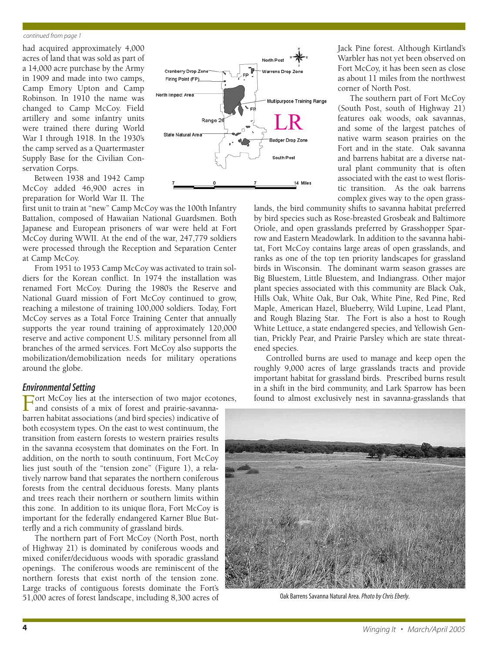#### *continued from page 1*

had acquired approximately 4,000 acres of land that was sold as part of a 14,000 acre purchase by the Army in 1909 and made into two camps, Camp Emory Upton and Camp Robinson. In 1910 the name was changed to Camp McCoy. Field artillery and some infantry units were trained there during World War I through 1918. In the 1930's the camp served as a Quartermaster Supply Base for the Civilian Conservation Corps.

Between 1938 and 1942 Camp McCoy added 46,900 acres in preparation for World War II. The

first unit to train at "new" Camp McCoy was the 100th Infantry Battalion, composed of Hawaiian National Guardsmen. Both Japanese and European prisoners of war were held at Fort McCoy during WWII. At the end of the war, 247,779 soldiers were processed through the Reception and Separation Center at Camp McCoy.

From 1951 to 1953 Camp McCoy was activated to train soldiers for the Korean conflict. In 1974 the installation was renamed Fort McCoy. During the 1980's the Reserve and National Guard mission of Fort McCoy continued to grow, reaching a milestone of training 100,000 soldiers. Today, Fort McCoy serves as a Total Force Training Center that annually supports the year round training of approximately 120,000 reserve and active component U.S. military personnel from all branches of the armed services. Fort McCoy also supports the mobilization/demobilization needs for military operations around the globe.

## *Environmental Setting*

Fort McCoy lies at the intersection of two major ecotones, and consists of a mix of forest and prairie-savannabarren habitat associations (and bird species) indicative of both ecosystem types. On the east to west continuum, the transition from eastern forests to western prairies results in the savanna ecosystem that dominates on the Fort. In addition, on the north to south continuum, Fort McCoy lies just south of the "tension zone" (Figure 1), a relatively narrow band that separates the northern coniferous forests from the central deciduous forests. Many plants and trees reach their northern or southern limits within this zone. In addition to its unique flora, Fort McCoy is important for the federally endangered Karner Blue Butterfly and a rich community of grassland birds.

The northern part of Fort McCoy (North Post, north of Highway 21) is dominated by coniferous woods and mixed conifer/deciduous woods with sporadic grassland openings. The coniferous woods are reminiscent of the northern forests that exist north of the tension zone. Large tracks of contiguous forests dominate the Fort's 51,000 acres of forest landscape, including 8,300 acres of



Jack Pine forest. Although Kirtland's Warbler has not yet been observed on Fort McCoy, it has been seen as close as about 11 miles from the northwest corner of North Post.

The southern part of Fort McCoy (South Post, south of Highway 21) features oak woods, oak savannas, and some of the largest patches of native warm season prairies on the Fort and in the state. Oak savanna and barrens habitat are a diverse natural plant community that is often associated with the east to west floristic transition. As the oak barrens complex gives way to the open grass-

lands, the bird community shifts to savanna habitat preferred by bird species such as Rose-breasted Grosbeak and Baltimore Oriole, and open grasslands preferred by Grasshopper Sparrow and Eastern Meadowlark. In addition to the savanna habitat, Fort McCoy contains large areas of open grasslands, and ranks as one of the top ten priority landscapes for grassland birds in Wisconsin. The dominant warm season grasses are Big Bluestem, Little Bluestem, and Indiangrass. Other major plant species associated with this community are Black Oak, Hills Oak, White Oak, Bur Oak, White Pine, Red Pine, Red Maple, American Hazel, Blueberry, Wild Lupine, Lead Plant, and Rough Blazing Star. The Fort is also a host to Rough White Lettuce, a state endangered species, and Yellowish Gentian, Prickly Pear, and Prairie Parsley which are state threatened species.

Controlled burns are used to manage and keep open the roughly 9,000 acres of large grasslands tracts and provide important habitat for grassland birds. Prescribed burns result in a shift in the bird community, and Lark Sparrow has been found to almost exclusively nest in savanna-grasslands that



Oak Barrens Savanna Natural Area. *Photo by Chris Eberly.*